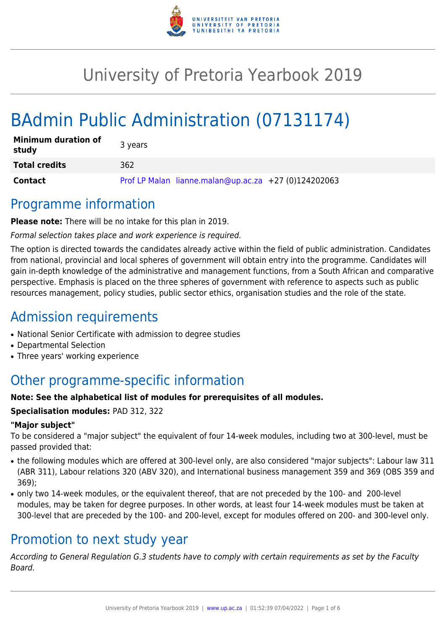

# University of Pretoria Yearbook 2019

# BAdmin Public Administration (07131174)

| <b>Minimum duration of</b><br>study | 3 years                                              |
|-------------------------------------|------------------------------------------------------|
| <b>Total credits</b>                | 362                                                  |
| <b>Contact</b>                      | Prof LP Malan lianne.malan@up.ac.za +27 (0)124202063 |

### Programme information

**Please note:** There will be no intake for this plan in 2019.

Formal selection takes place and work experience is required.

The option is directed towards the candidates already active within the field of public administration. Candidates from national, provincial and local spheres of government will obtain entry into the programme. Candidates will gain in-depth knowledge of the administrative and management functions, from a South African and comparative perspective. Emphasis is placed on the three spheres of government with reference to aspects such as public resources management, policy studies, public sector ethics, organisation studies and the role of the state.

## Admission requirements

- National Senior Certificate with admission to degree studies
- Departmental Selection
- Three years' working experience

# Other programme-specific information

#### **Note: See the alphabetical list of modules for prerequisites of all modules.**

#### **Specialisation modules:** PAD 312, 322

#### **"Major subject"**

To be considered a "major subject" the equivalent of four 14-week modules, including two at 300-level, must be passed provided that:

- the following modules which are offered at 300-level only, are also considered "major subjects": Labour law 311 (ABR 311), Labour relations 320 (ABV 320), and International business management 359 and 369 (OBS 359 and 369);
- only two 14-week modules, or the equivalent thereof, that are not preceded by the 100- and 200-level modules, may be taken for degree purposes. In other words, at least four 14-week modules must be taken at 300-level that are preceded by the 100- and 200-level, except for modules offered on 200- and 300-level only.

### Promotion to next study year

According to General Regulation G.3 students have to comply with certain requirements as set by the Faculty Board.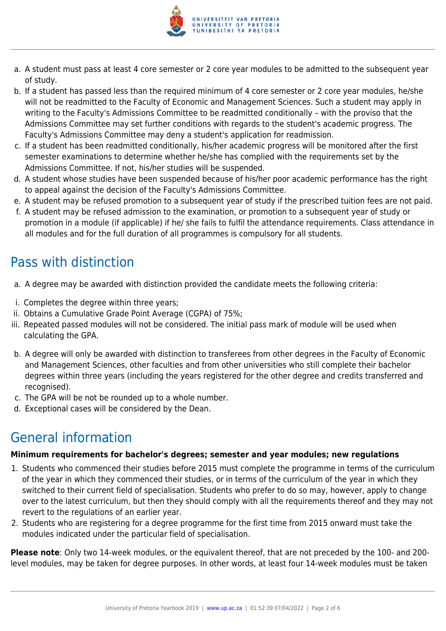

- a. A student must pass at least 4 core semester or 2 core year modules to be admitted to the subsequent year of study.
- b. If a student has passed less than the required minimum of 4 core semester or 2 core year modules, he/she will not be readmitted to the Faculty of Economic and Management Sciences. Such a student may apply in writing to the Faculty's Admissions Committee to be readmitted conditionally – with the proviso that the Admissions Committee may set further conditions with regards to the student's academic progress. The Faculty's Admissions Committee may deny a student's application for readmission.
- c. If a student has been readmitted conditionally, his/her academic progress will be monitored after the first semester examinations to determine whether he/she has complied with the requirements set by the Admissions Committee. If not, his/her studies will be suspended.
- d. A student whose studies have been suspended because of his/her poor academic performance has the right to appeal against the decision of the Faculty's Admissions Committee.
- e. A student may be refused promotion to a subsequent year of study if the prescribed tuition fees are not paid.
- f. A student may be refused admission to the examination, or promotion to a subsequent year of study or promotion in a module (if applicable) if he/ she fails to fulfil the attendance requirements. Class attendance in all modules and for the full duration of all programmes is compulsory for all students.

# Pass with distinction

- a. A degree may be awarded with distinction provided the candidate meets the following criteria:
- i. Completes the degree within three years;
- ii. Obtains a Cumulative Grade Point Average (CGPA) of 75%;
- iii. Repeated passed modules will not be considered. The initial pass mark of module will be used when calculating the GPA.
- b. A degree will only be awarded with distinction to transferees from other degrees in the Faculty of Economic and Management Sciences, other faculties and from other universities who still complete their bachelor degrees within three years (including the years registered for the other degree and credits transferred and recognised).
- c. The GPA will be not be rounded up to a whole number.
- d. Exceptional cases will be considered by the Dean.

# General information

#### **Minimum requirements for bachelor's degrees; semester and year modules; new regulations**

- 1. Students who commenced their studies before 2015 must complete the programme in terms of the curriculum of the year in which they commenced their studies, or in terms of the curriculum of the year in which they switched to their current field of specialisation. Students who prefer to do so may, however, apply to change over to the latest curriculum, but then they should comply with all the requirements thereof and they may not revert to the regulations of an earlier year.
- 2. Students who are registering for a degree programme for the first time from 2015 onward must take the modules indicated under the particular field of specialisation.

**Please note**: Only two 14-week modules, or the equivalent thereof, that are not preceded by the 100- and 200 level modules, may be taken for degree purposes. In other words, at least four 14-week modules must be taken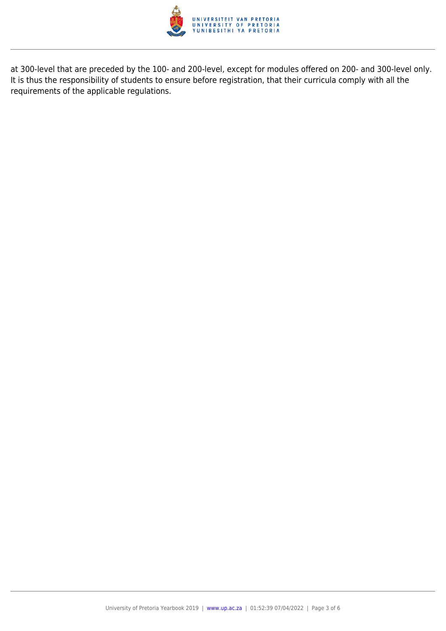

at 300-level that are preceded by the 100- and 200-level, except for modules offered on 200- and 300-level only. It is thus the responsibility of students to ensure before registration, that their curricula comply with all the requirements of the applicable regulations.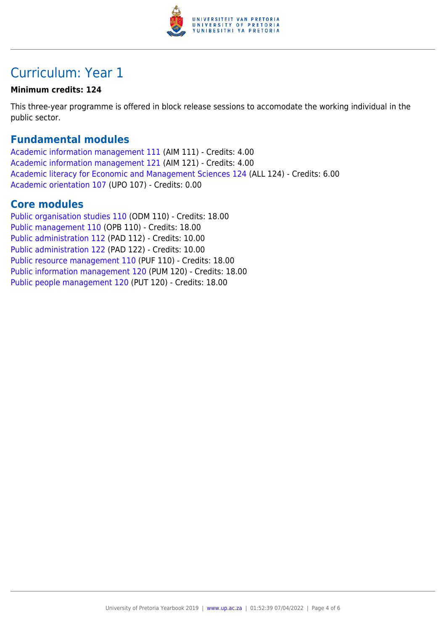

## Curriculum: Year 1

#### **Minimum credits: 124**

This three-year programme is offered in block release sessions to accomodate the working individual in the public sector.

#### **Fundamental modules**

[Academic information management 111](https://www.up.ac.za/faculty-of-education/yearbooks/2019/modules/view/AIM 111) (AIM 111) - Credits: 4.00 [Academic information management 121](https://www.up.ac.za/faculty-of-education/yearbooks/2019/modules/view/AIM 121) (AIM 121) - Credits: 4.00 [Academic literacy for Economic and Management Sciences 124](https://www.up.ac.za/faculty-of-education/yearbooks/2019/modules/view/ALL 124) (ALL 124) - Credits: 6.00 [Academic orientation 107](https://www.up.ac.za/faculty-of-education/yearbooks/2019/modules/view/UPO 107) (UPO 107) - Credits: 0.00

#### **Core modules**

[Public organisation studies 110](https://www.up.ac.za/faculty-of-education/yearbooks/2019/modules/view/ODM 110) (ODM 110) - Credits: 18.00 [Public management 110](https://www.up.ac.za/faculty-of-education/yearbooks/2019/modules/view/OPB 110) (OPB 110) - Credits: 18.00 [Public administration 112](https://www.up.ac.za/faculty-of-education/yearbooks/2019/modules/view/PAD 112) (PAD 112) - Credits: 10.00 [Public administration 122](https://www.up.ac.za/faculty-of-education/yearbooks/2019/modules/view/PAD 122) (PAD 122) - Credits: 10.00 [Public resource management 110](https://www.up.ac.za/faculty-of-education/yearbooks/2019/modules/view/PUF 110) (PUF 110) - Credits: 18.00 [Public information management 120](https://www.up.ac.za/faculty-of-education/yearbooks/2019/modules/view/PUM 120) (PUM 120) - Credits: 18.00 [Public people management 120](https://www.up.ac.za/faculty-of-education/yearbooks/2019/modules/view/PUT 120) (PUT 120) - Credits: 18.00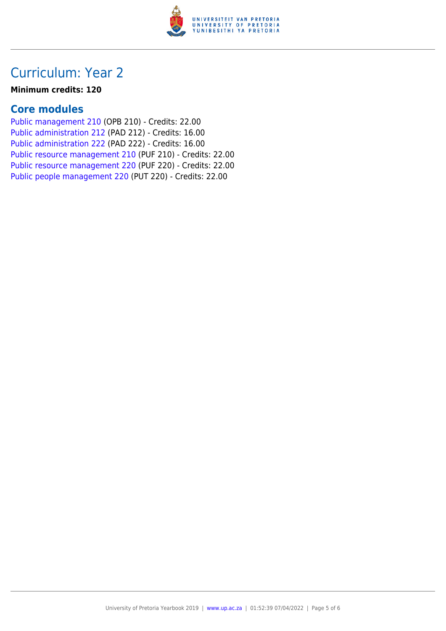

## Curriculum: Year 2

#### **Minimum credits: 120**

### **Core modules**

[Public management 210](https://www.up.ac.za/faculty-of-education/yearbooks/2019/modules/view/OPB 210) (OPB 210) - Credits: 22.00 [Public administration 212](https://www.up.ac.za/faculty-of-education/yearbooks/2019/modules/view/PAD 212) (PAD 212) - Credits: 16.00 [Public administration 222](https://www.up.ac.za/faculty-of-education/yearbooks/2019/modules/view/PAD 222) (PAD 222) - Credits: 16.00 [Public resource management 210](https://www.up.ac.za/faculty-of-education/yearbooks/2019/modules/view/PUF 210) (PUF 210) - Credits: 22.00 [Public resource management 220](https://www.up.ac.za/faculty-of-education/yearbooks/2019/modules/view/PUF 220) (PUF 220) - Credits: 22.00 [Public people management 220](https://www.up.ac.za/faculty-of-education/yearbooks/2019/modules/view/PUT 220) (PUT 220) - Credits: 22.00